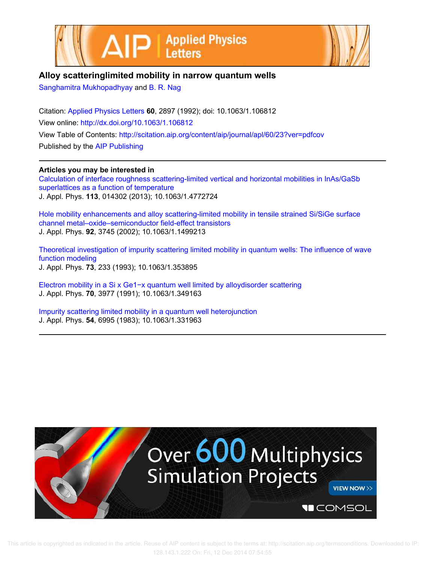



## **Alloy scatteringlimited mobility in narrow quantum wells**

Sanghamitra Mukhopadhyay and B. R. Nag

Citation: Applied Physics Letters **60**, 2897 (1992); doi: 10.1063/1.106812 View online: http://dx.doi.org/10.1063/1.106812 View Table of Contents: http://scitation.aip.org/content/aip/journal/apl/60/23?ver=pdfcov Published by the AIP Publishing

**Articles you may be interested in**

Calculation of interface roughness scattering-limited vertical and horizontal mobilities in InAs/GaSb superlattices as a function of temperature J. Appl. Phys. **113**, 014302 (2013); 10.1063/1.4772724

Hole mobility enhancements and alloy scattering-limited mobility in tensile strained Si/SiGe surface channel metal–oxide–semiconductor field-effect transistors J. Appl. Phys. **92**, 3745 (2002); 10.1063/1.1499213

Theoretical investigation of impurity scattering limited mobility in quantum wells: The influence of wave function modeling J. Appl. Phys. **73**, 233 (1993); 10.1063/1.353895

Electron mobility in a Si x Ge1−x quantum well limited by alloydisorder scattering J. Appl. Phys. **70**, 3977 (1991); 10.1063/1.349163

Impurity scattering limited mobility in a quantum well heterojunction J. Appl. Phys. **54**, 6995 (1983); 10.1063/1.331963

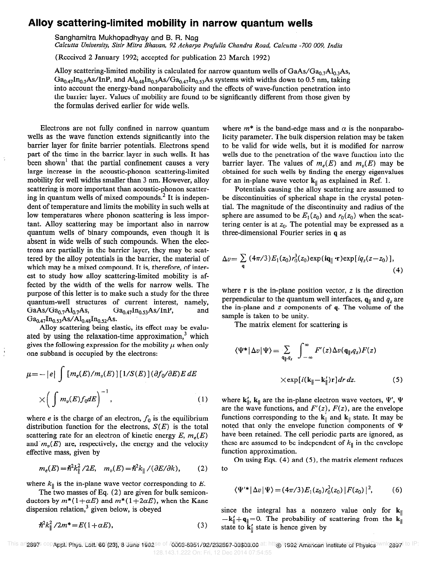## Alloy scattering-limited mobility in narrow quantum wells

Sanghamitra Mukhopadhyay and B. R. Nag

Calcutta University, Sisir Mitra Bhavan, 92 Acharya Prafulla Chandra Road, Calcutta -700 009, India

(Received 2 January 1992; accepted for publication 23 March 1992)

Alloy scattering-limited mobility is calculated for narrow quantum wells of  $GaAs/Ga_{0.7}Al_{0.3}As$ ,  $Ga_{0.47}In_{0.5}As/InP$ , and  $Al_{0.48}In_{0.5}As/Ga_{0.47}In_{0.53}As$  systems with widths down to 0.5 nm, taking into account the energy-band nonparabolicity and the effects of wave-function penetration into the barrier layer. Values of mobility are found to be significantly different from those given by the formulas derived earlier for wide wells.

Electrons are not fully confined in narrow quantum wells as the wave function extends significantly into the barrier layer for finite barrier potentials. Electrons spend part of the time in the barrier. layer in such wells. It has been shown<sup>1</sup> that the partial confinement causes a very large increase in the acoustic-phonon scattering-limited mobility for well widths smaller than 3 nm. However, alloy scattering is more important than acoustic-phonon scattering in quantum wells of mixed compounds.<sup>2</sup> It is independent of temperature and limits the mobility in such wells at low temperatures where phonon scattering is less important. Alloy scattering may be important also in narrow quantum wells of binary compounds, even though it is absent in wide wells of such compounds. When the electrons are partially in the barrier layer, they may be scattered by the alloy potentials in the barrier, the material of which may be a mixed compound. It is, therefore, of interest to study how alloy scattering-limited mobility is affected by the width of the wells for narrow wells. The purpose of this letter is to make such a study for the three quantum-well structures of current interest, namely, GaAs/Ga<sub>0.7</sub>Al<sub>0.7</sub>As, Ga<sub>0.47</sub>In<sub>0.53</sub>As/InP, and  $Ga_{0.47}In_{0.53}As/Al_{0.48}In_{0.52}As.$ 

Alloy scattering being elastic, its effect may be evaluated by using the relaxation-time approximation,<sup>3</sup> which gives the following expression for the mobility  $\mu$  when only one subband is occupied by the electrons:

$$
\mu = -|e| \int [m_e(E)/m_v(E)][1/S(E)] (\partial f_0/\partial E)E dE
$$
  
 
$$
\times \left( \int m_v(E) f_0 dE \right)^{-1}, \qquad (1)
$$

where *e* is the charge of an electron,  $f_0$  is the equilibrium distribution function for the electrons,  $S(E)$  is the total scattering rate for an electron of kinetic energy  $E, m_e(E)$ and  $m<sub>v</sub>(E)$  are, respectively, the energy and the velocity effective mass, given by

$$
m_e(E) = \hbar^2 k_{\parallel}^2 / 2E, \quad m_v(E) = \hbar^2 k_{\parallel} / (\partial E / \partial k), \tag{2}
$$

where  $k_{\parallel}$  is the in-plane wave vector corresponding to E.

The two masses of Eq. (2) are given for bulk semiconductors by  $m^*(1+\alpha E)$  and  $m^*(1+2\alpha E)$ , when the Kane dispersion relation, $3$  given below, is obeyed

$$
\hbar^2 k_{\parallel}^2 / 2m^* = E(1 + \alpha E), \tag{3}
$$

where  $m^*$  is the band-edge mass and  $\alpha$  is the nonparabolicity parameter. The bulk dispersion relation may be taken to be valid for wide wells, but it is modified for narrow wells due to the penetration of the wave function into the barrier layer. The values of  $m_e(E)$  and  $m_p(E)$  may be obtained for such wells by finding the energy eigenvalues for an in-plane wave vector  $k_{\parallel}$  as explained in Ref. 1.

Potentials causing the alloy scattering are assumed to be discontinuities of spherical shape in the crystal potential. The magnitude of the discontinuity and radius of the sphere are assumed to be  $E_1(z_0)$  and  $r_0(z_0)$  when the scattering center is at  $z_0$ . The potential may be expressed as a three-dimensional Fourier series in q as

$$
\Delta v = \sum_{\mathbf{q}} (4\pi/3) E_1(z_0) r_0^3(z_0) \exp(i\mathbf{q}_{\parallel} \cdot \mathbf{r}) \exp[iq_z(z - z_0)],
$$
\n(4)

where  $\bf{r}$  is the in-plane position vector,  $\bf{z}$  is the direction perpendicular to the quantum well interfaces,  $q_{\parallel}$  and  $q_z$  are the in-plane and  $z$  components of  $q$ . The volume of the sample is taken to be unity.

The matrix element for scattering is

$$
\langle \Psi^* | \Delta v | \Psi \rangle = \sum_{\mathbf{q}_{\parallel}, q_{z}} \int_{-\infty}^{\infty} F'(z) \Delta v(\mathbf{q}_{\parallel}, q_{z}) F(z)
$$

$$
\times \exp[i(\mathbf{k}_{\parallel} - \mathbf{k}_{\parallel}') \mathbf{r}] dr dz. \tag{5}
$$

where  $k'_{\parallel}$ ,  $k_{\parallel}$  are the in-plane electron wave vectors,  $\Psi'$ ,  $\Psi$ are the wave functions, and  $F'(z)$ ,  $F(z)$ , are the envelope functions corresponding to the  $k_{\parallel}$  and  $k_{\parallel}$  state. It may be noted that only the envelope function components of  $\Psi$ have been retained. The cell periodic parts are ignored, as these are assumed to be independent of  $k_{\parallel}$  in the envelope function approximation.

On using Eqs. (4) and (5), the matrix element reduces to

$$
\langle \Psi^{\prime \ast} | \Delta v | \Psi \rangle = (4\pi/3) E_1(z_0) r_0^3(z_0) |F(z_0)|^2, \tag{6}
$$

since the integral has a nonzero value only for  $k_{\parallel}$  $-k_{\parallel}^{\prime}+q_{\parallel}=0$ . The probability of scattering from the k<sub>||</sub> state to  $k_{\parallel}$  state is hence given by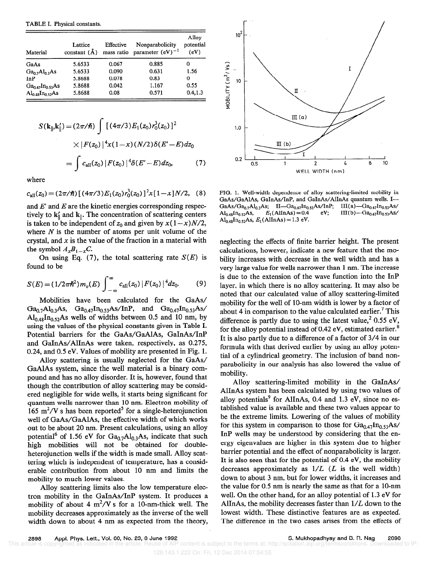TABLE I. Physical constants.

| Material                               | Lattice<br>constant $(\AA)$ | Effective<br>mass ratio | Nonparabolicity<br>parameter $(eV)^{-1}$ | Alloy<br>potential<br>(eV) |
|----------------------------------------|-----------------------------|-------------------------|------------------------------------------|----------------------------|
| GaAs                                   | 5.6533                      | 0.067                   | 0.885                                    | Ω                          |
| Ga <sub>0.7</sub> Al <sub>0.3</sub> As | 5.6533                      | 0.090                   | 0.631                                    | 1.56                       |
| <b>InP</b>                             | 5.8688                      | 0.078                   | 0.83                                     | 0                          |
| $Ga_{0.47}In_{0.53}As$                 | 5.8688                      | 0.042                   | 1.167                                    | 0.55                       |
| $Al_{0.48}$ In <sub>0.52</sub> As      | 5.8688                      | 0.08                    | 0.571                                    | 0.4.1.3                    |

$$
S(\mathbf{k}_{\parallel}, \mathbf{k}_{\parallel}') = (2\pi/\hbar) \int [(4\pi/3)E_1(z_0) r_0^3(z_0)]^2
$$
  
 
$$
\times |F(z_0)|^4 x (1-x) (N/2) \delta(E'-E) dz_0
$$
  

$$
= \int c_{\text{all}}(z_0) |F(z_0)|^4 \delta(E'-E) dz_0, \qquad (7)
$$

where

 $c_{\text{all}}(z_0) = (2\pi/\hslash) \left[ (4\pi/3) E_1(z_0) r_0^3(z_0) \right]^2 x \left[ 1 - x \right] N/2$ , (8)

and  $E'$  and  $E$  are the kinetic energies corresponding respectively to  $k_{\parallel}$  and  $k_{\parallel}$ . The concentration of scattering centers is taken to be independent of  $z_0$  and given by  $x(1-x)N/2$ , where  $N$  is the number of atoms per unit volume of the crystal, and  $x$  is the value of the fraction in a material with the symbol  $A_xB_{1-x}C$ .

On using Eq. (7), the total scattering rate  $S(E)$  is found to be

$$
S(E) = (1/2\pi\hbar^2)m_v(E)\int_{-\infty}^{\infty} c_{\rm all}(z_0)\left|F(z_0)\right|^4 dz_0.
$$
 (9)

Mobilities have been calculated for the GaAs/  $Ga_{0.7}Al_{0.3}As$ ,  $Ga_{0.47}In_{0.53}As/InP$ , and  $Ga_{0.47}In_{0.53}As/$  $Al_{0.48}In_{0.52}As$  wells of widths between 0.5 and 10 nm, by using the values of the physical constants given in Table I. Potential barriers for the GaAs/GaAlAs, GaInAs/InP and GaInAs/AlInAs were taken, respectively, as 0.275, 0.24, and 0.5 eV. Values of mobility are presented in Fig. 1.

Alloy scattering is usually neglected for the GaAs/ GaAlAs system, since the well material is a binary compound and has no alloy disorder. It is, however, found that though the contribution of alloy scattering may be considered negligible for wide wells, it starts being significant for quantum wells narrower than 10 nm. Electron mobility of 165 m<sup>2</sup>/V s has been reported<sup>5</sup> for a single-heterojunction well of GaAs/GaAlAs, the effective width of which works out to be about 20 nm. Present calculations, using an alloy potential<sup>6</sup> of 1.56 eV for  $Ga_{0.7}Al_{0.3}As$ , indicate that such high mobilities will not be obtained for doubleheterojunction wells if the width is made small. Alloy scattering which is independent of temperature, has a considerable contribution from about 10 nm and limits the mobility to much lower values.

Alloy scattering limits also the low temperature electron mobility in the GaInAs/InP system. It produces a mobility of about 4  $m^2/V$  s for a 10-nm-thick well. The mobility decreases approximately as the inverse of the well width down to about 4 nm as expected from the theory,



FIG. 1. Well-width dependence of alloy scattering-limited mobility in GaAs/GaAlAs, GaInAs/InP, and GaInAs/AlInAs quantum wells. I-GaAs/Ga<sub>0.7</sub>Al<sub>0.3</sub>As; II—Ga<sub>0.47</sub>In<sub>0.53</sub>As/InP;  $III(a)$  -  $Ga_{0.47}In_{0.53}As$ /  $III(b) - Ga_{0.47}In_{0.53}As$  $E_1$ (AlInAs) = 0.4  $Al_{0.48}In_{0.52}As,$ eV;  $Al_{0.48}In_{0.52}As, E_1(AlInAs) = 1.3$  eV.

neglecting the effects of finite barrier height. The present calculations, however, indicate a new feature that the mobility increases with decrease in the well width and has a very large value for wells narrower than 1 nm. The increase is due to the extension of the wave function into the InP layer, in which there is no alloy scattering. It may also be noted that our calculated value of alloy scattering-limited mobility for the well of 10-nm width is lower by a factor of about 4 in comparison to the value calculated earlier.<sup>7</sup> This difference is partly due to using the latest value,<sup>2</sup> 0.55 eV, for the alloy potential instead of 0.42 eV, estimated earlier.<sup>8</sup> It is also partly due to a difference of a factor of 3/4 in our formula with that derived earlier by using an alloy potential of a cylindrical geometry. The inclusion of band nonparabolicity in our analysis has also lowered the value of mobility.

Alloy scattering-limited mobility in the GaInAs/ AlInAs system has been calculated by using two values of alloy potentials<sup>9</sup> for AlInAs, 0.4 and 1.3 eV, since no established value is available and these two values appear to be the extreme limits. Lowering of the values of mobility for this system in comparison to those for  $Ga_{0.47}In_{0.53}As$ / InP wells may be understood by considering that the energy eigenvalues are higher in this system due to higher barrier potential and the effect of nonparabolicity is larger. It is also seen that for the potential of 0.4 eV, the mobility decreases approximately as  $1/L$  (L is the well width) down to about 3 nm, but for lower widths, it increases and the value for 0.5 nm is nearly the same as that for a 10-nm well. On the other hand, for an alloy potential of 1.3 eV for AlInAs, the mobility decreases faster than  $1/L$  down to the lowest width. These distinctive features are as expected. The difference in the two cases arises from the effects of